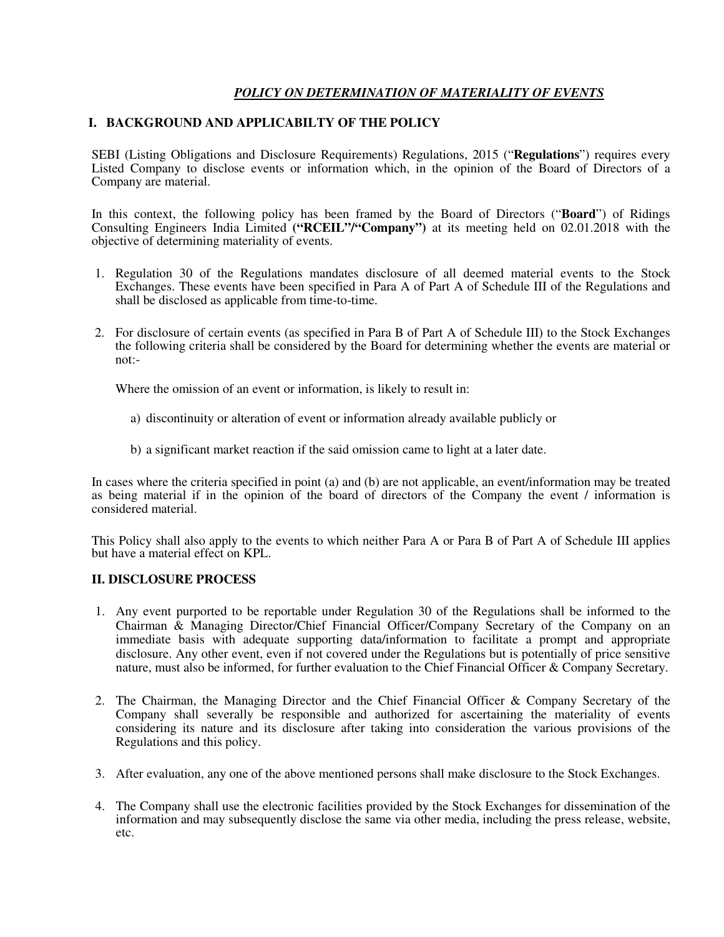## *POLICY ON DETERMINATION OF MATERIALITY OF EVENTS*

## **I. BACKGROUND AND APPLICABILTY OF THE POLICY**

SEBI (Listing Obligations and Disclosure Requirements) Regulations, 2015 ("**Regulations**") requires every Listed Company to disclose events or information which, in the opinion of the Board of Directors of a Company are material.

In this context, the following policy has been framed by the Board of Directors ("**Board**") of Ridings Consulting Engineers India Limited **("RCEIL"/"Company")** at its meeting held on 02.01.2018 with the objective of determining materiality of events.

- 1. Regulation 30 of the Regulations mandates disclosure of all deemed material events to the Stock Exchanges. These events have been specified in Para A of Part A of Schedule III of the Regulations and shall be disclosed as applicable from time-to-time.
- 2. For disclosure of certain events (as specified in Para B of Part A of Schedule III) to the Stock Exchanges the following criteria shall be considered by the Board for determining whether the events are material or not:-

Where the omission of an event or information, is likely to result in:

- a) discontinuity or alteration of event or information already available publicly or
- b) a significant market reaction if the said omission came to light at a later date.

In cases where the criteria specified in point (a) and (b) are not applicable, an event/information may be treated as being material if in the opinion of the board of directors of the Company the event / information is considered material.

This Policy shall also apply to the events to which neither Para A or Para B of Part A of Schedule III applies but have a material effect on KPL.

## **II. DISCLOSURE PROCESS**

- 1. Any event purported to be reportable under Regulation 30 of the Regulations shall be informed to the Chairman & Managing Director/Chief Financial Officer/Company Secretary of the Company on an immediate basis with adequate supporting data/information to facilitate a prompt and appropriate disclosure. Any other event, even if not covered under the Regulations but is potentially of price sensitive nature, must also be informed, for further evaluation to the Chief Financial Officer & Company Secretary.
- 2. The Chairman, the Managing Director and the Chief Financial Officer & Company Secretary of the Company shall severally be responsible and authorized for ascertaining the materiality of events considering its nature and its disclosure after taking into consideration the various provisions of the Regulations and this policy.
- 3. After evaluation, any one of the above mentioned persons shall make disclosure to the Stock Exchanges.
- 4. The Company shall use the electronic facilities provided by the Stock Exchanges for dissemination of the information and may subsequently disclose the same via other media, including the press release, website, etc.